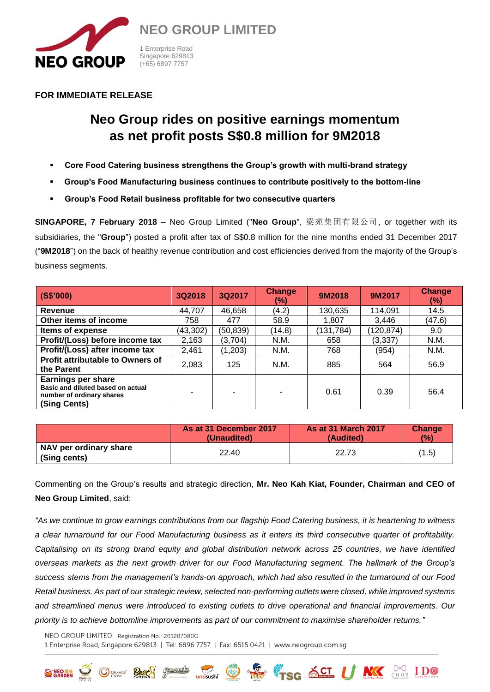

**FOR IMMEDIATE RELEASE**

# **Neo Group rides on positive earnings momentum as net profit posts S\$0.8 million for 9M2018**

- **Core Food Catering business strengthens the Group's growth with multi-brand strategy**
- **Group's Food Manufacturing business continues to contribute positively to the bottom-line**
- **Group's Food Retail business profitable for two consecutive quarters**

**SINGAPORE, 7 February 2018** – Neo Group Limited ("**Neo Group**", 梁苑集团有限公司, or together with its subsidiaries, the "**Group**") posted a profit after tax of S\$0.8 million for the nine months ended 31 December 2017 ("**9M2018**") on the back of healthy revenue contribution and cost efficiencies derived from the majority of the Group's business segments.

| (S\$'000)                                                                                                   | 3Q2018    | 3Q2017    | <b>Change</b><br>$(\%)$ | 9M2018    | 9M2017     | Change<br>$(\%)$ |
|-------------------------------------------------------------------------------------------------------------|-----------|-----------|-------------------------|-----------|------------|------------------|
| Revenue                                                                                                     | 44,707    | 46,658    | (4.2)                   | 130,635   | 114,091    | 14.5             |
| Other items of income                                                                                       | 758       | 477       | 58.9                    | 1,807     | 3.446      | (47.6)           |
| Items of expense                                                                                            | (43, 302) | (50, 839) | (14.8)                  | (131,784) | (120, 874) | 9.0              |
| Profit/(Loss) before income tax                                                                             | 2,163     | (3,704)   | N.M.                    | 658       | (3, 337)   | N.M.             |
| Profit/(Loss) after income tax                                                                              | 2,461     | (1,203)   | N.M.                    | 768       | (954)      | N.M.             |
| <b>Profit attributable to Owners of</b><br>the Parent                                                       | 2,083     | 125       | N.M.                    | 885       | 564        | 56.9             |
| <b>Earnings per share</b><br>Basic and diluted based on actual<br>number of ordinary shares<br>(Sing Cents) |           |           |                         | 0.61      | 0.39       | 56.4             |

|                                        | As at 31 December 2017 | <b>As at 31 March 2017</b> | Change |
|----------------------------------------|------------------------|----------------------------|--------|
|                                        | (Unaudited)            | (Audited)                  | (%)    |
| NAV per ordinary share<br>(Sing cents) | 22.40                  | 22.73                      | (1.5)  |

Commenting on the Group's results and strategic direction, **Mr. Neo Kah Kiat, Founder, Chairman and CEO of Neo Group Limited**, said:

*"As we continue to grow earnings contributions from our flagship Food Catering business, it is heartening to witness a clear turnaround for our Food Manufacturing business as it enters its third consecutive quarter of profitability. Capitalising on its strong brand equity and global distribution network across 25 countries, we have identified overseas markets as the next growth driver for our Food Manufacturing segment. The hallmark of the Group's success stems from the management's hands-on approach, which had also resulted in the turnaround of our Food Retail business. As part of our strategic review, selected non-performing outlets were closed, while improved systems and streamlined menus were introduced to existing outlets to drive operational and financial improvements. Our priority is to achieve bottomline improvements as part of our commitment to maximise shareholder returns."*

**Desired Way of SCI U NKY** SHOP IDO

NEO GROUP LIMITED Registration No.: 201207080G 1 Enterprise Road, Singapore 629813 | Tel: 6896 7757 | Fax: 6515 0421 | www.neogroup.com.sg

GARDEN SOLIDOR CLOVE CONTROL COMMENT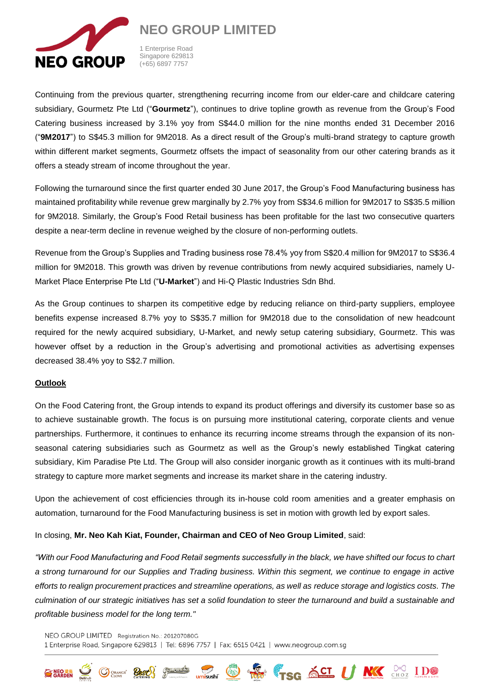

**NEO GROUP LIMITED**

1 Enterprise Road Singapore 629813 (+65) 6897 7757

Continuing from the previous quarter, strengthening recurring income from our elder-care and childcare catering subsidiary, Gourmetz Pte Ltd ("**Gourmetz**"), continues to drive topline growth as revenue from the Group's Food Catering business increased by 3.1% yoy from S\$44.0 million for the nine months ended 31 December 2016 ("**9M2017**") to S\$45.3 million for 9M2018. As a direct result of the Group's multi-brand strategy to capture growth within different market segments, Gourmetz offsets the impact of seasonality from our other catering brands as it offers a steady stream of income throughout the year.

Following the turnaround since the first quarter ended 30 June 2017, the Group's Food Manufacturing business has maintained profitability while revenue grew marginally by 2.7% yoy from S\$34.6 million for 9M2017 to S\$35.5 million for 9M2018. Similarly, the Group's Food Retail business has been profitable for the last two consecutive quarters despite a near-term decline in revenue weighed by the closure of non-performing outlets.

Revenue from the Group's Supplies and Trading business rose 78.4% yoy from S\$20.4 million for 9M2017 to S\$36.4 million for 9M2018. This growth was driven by revenue contributions from newly acquired subsidiaries, namely U-Market Place Enterprise Pte Ltd ("**U-Market**") and Hi-Q Plastic Industries Sdn Bhd.

As the Group continues to sharpen its competitive edge by reducing reliance on third-party suppliers, employee benefits expense increased 8.7% yoy to S\$35.7 million for 9M2018 due to the consolidation of new headcount required for the newly acquired subsidiary, U-Market, and newly setup catering subsidiary, Gourmetz. This was however offset by a reduction in the Group's advertising and promotional activities as advertising expenses decreased 38.4% yoy to S\$2.7 million.

## **Outlook**

On the Food Catering front, the Group intends to expand its product offerings and diversify its customer base so as to achieve sustainable growth. The focus is on pursuing more institutional catering, corporate clients and venue partnerships. Furthermore, it continues to enhance its recurring income streams through the expansion of its nonseasonal catering subsidiaries such as Gourmetz as well as the Group's newly established Tingkat catering subsidiary, Kim Paradise Pte Ltd. The Group will also consider inorganic growth as it continues with its multi-brand strategy to capture more market segments and increase its market share in the catering industry.

Upon the achievement of cost efficiencies through its in-house cold room amenities and a greater emphasis on automation, turnaround for the Food Manufacturing business is set in motion with growth led by export sales.

## In closing, **Mr. Neo Kah Kiat, Founder, Chairman and CEO of Neo Group Limited**, said:

*"With our Food Manufacturing and Food Retail segments successfully in the black, we have shifted our focus to chart a strong turnaround for our Supplies and Trading business. Within this segment, we continue to engage in active efforts to realign procurement practices and streamline operations, as well as reduce storage and logistics costs. The culmination of our strategic initiatives has set a solid foundation to steer the turnaround and build a sustainable and profitable business model for the long term."*

**Designation Comparison SCL U NKK** SHOW IDO

NEO GROUP LIMITED Registration No.: 201207080G 1 Enterprise Road, Singapore 629813 | Tel: 6896 7757 | Fax: 6515 0421 | www.neogroup.com.sg

**SOUTHERN CATERING**